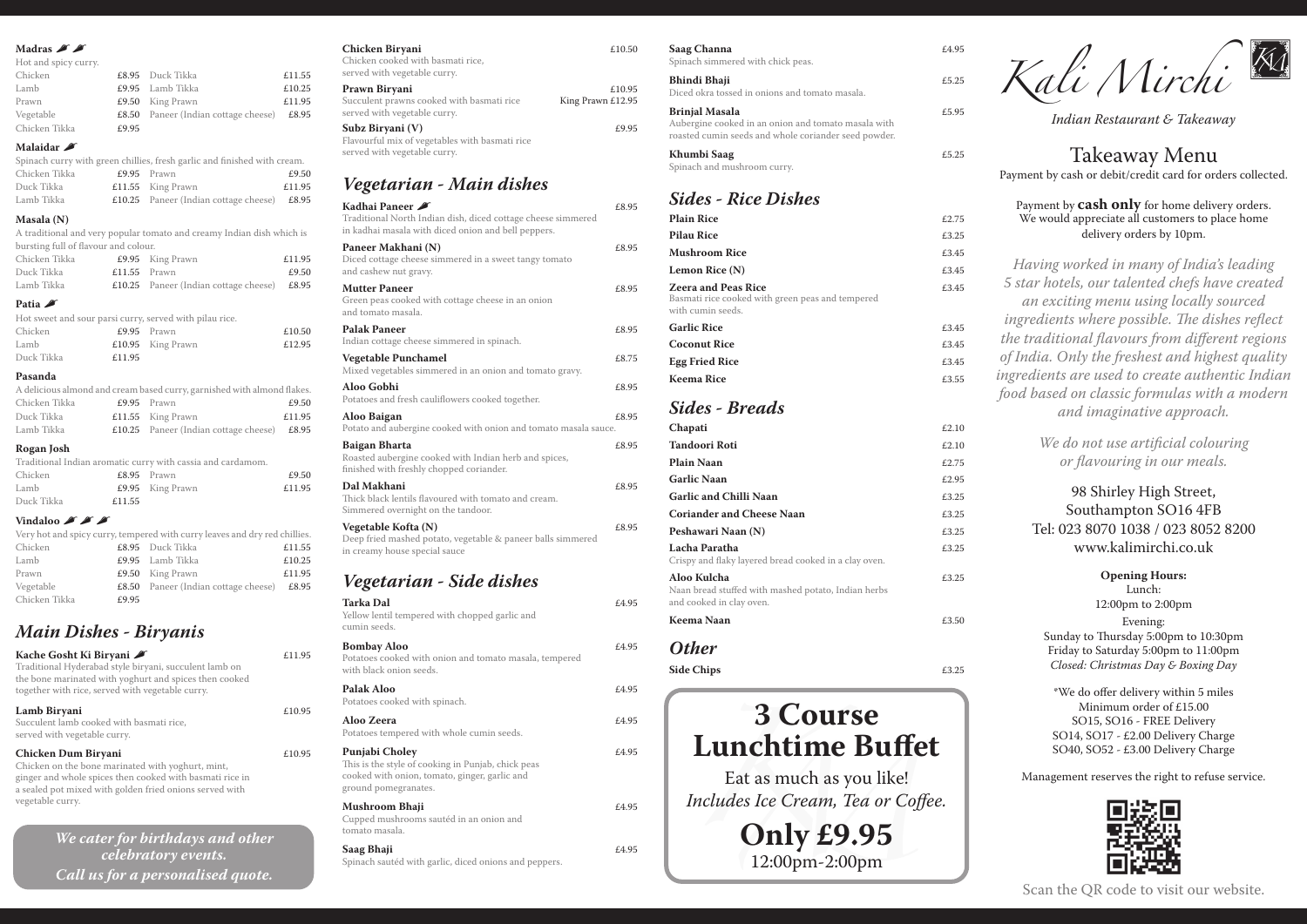Kali Mirchi

*Indian Restaurant & Takeaway*

Takeaway Menu Payment by cash or debit/credit card for orders collected.

Payment by **cash only** for home delivery orders. We would appreciate all customers to place home delivery orders by 10pm.

*Having worked in many of India's leading 5 star hotels, our talented chefs have created an exciting menu using locally sourced ingredients where possible. The dishes reflect the traditional flavours from different regions of India. Only the freshest and highest quality ingredients are used to create authentic Indian food based on classic formulas with a modern and imaginative approach.* 

> *We do not use artificial colouring or flavouring in our meals.*

98 Shirley High Street, Southampton SO16 4FB Tel: 023 8070 1038 / 023 8052 8200 www.kalimirchi.co.uk

**Opening Hours:**  Lunch: 12:00pm to 2:00pm Evening: Sunday to Thursday 5:00pm to 10:30pm Friday to Saturday 5:00pm to 11:00pm *Closed: Christmas Day & Boxing Day*

\*We do offer delivery within 5 miles Minimum order of £15.00 SO15, SO16 - FREE Delivery SO14, SO17 - £2.00 Delivery Charge SO40, SO52 - £3.00 Delivery Charge

Management reserves the right to refuse service.



Scan the QR code to visit our website.

#### Madras **A**

| Hot and spicy curry.                                                  |        |
|-----------------------------------------------------------------------|--------|
| Chicken<br>£8.95 Duck Tikka                                           | £11.55 |
| Lamb<br>£9.95 Lamb Tikka                                              | £10.25 |
| Prawn<br>£9.50 King Prawn                                             | £11.95 |
| Vegetable<br><b>£8.50</b> Paneer (Indian cottage cheese) <b>£8.95</b> |        |
| Chicken Tikka<br>£9.95                                                |        |

### **Malaidar** ,

|               |                     | Spinach curry with green chillies, fresh garlic and finished with cream. |
|---------------|---------------------|--------------------------------------------------------------------------|
| Chicken Tikka | £9.95 Prawn         | £9.50                                                                    |
| Duck Tikka    | $£11.55$ King Prawn | £11.95                                                                   |

| ___________________ |                                              |       |
|---------------------|----------------------------------------------|-------|
| Lamb Tikka          | <b>£10.25</b> Paneer (Indian cottage cheese) | £8.95 |
|                     |                                              |       |

### **Masala (N)**

A traditional and very popular tomato and creamy Indian dish which is bursting full of flavour and colour.

| Chicken Tikka |                | £9.95 King Prawn                              | £11.95 |
|---------------|----------------|-----------------------------------------------|--------|
| Duck Tikka    | $£11.55$ Prawn |                                               | £9.50  |
| Lamb Tikka    |                | £10.25 Paneer (Indian cottage cheese) $£8.95$ |        |

#### Patia  $\triangle$

|            |        | Hot sweet and sour parsi curry, served with pilau rice. |        |
|------------|--------|---------------------------------------------------------|--------|
| Chicken    |        | £9.95 Prawn                                             | £10.50 |
| Lamb       |        | $£10.95$ King Prawn                                     | £12.95 |
| Duck Tikka | £11.95 |                                                         |        |

#### **Pasanda**

| A delicious almond and cream based curry, garnished with almond flakes. |  |                                               |        |
|-------------------------------------------------------------------------|--|-----------------------------------------------|--------|
| Chicken Tikka                                                           |  | $£9.95$ Prawn                                 | £9.50  |
| Duck Tikka                                                              |  | $£11.55$ King Prawn                           | £11.95 |
| Lamb Tikka                                                              |  | £10.25 Paneer (Indian cottage cheese) $£8.95$ |        |

#### **Rogan Josh**

### **Kadhai Paneer**  $\blacktriangleright$  £8.95 Traditional North Indian dish, diced cottage cheese simmered in kadhai masala with diced onion and bell peppers. **Paneer Makhani (N)**  $£8.95$ Diced cottage cheese simmered in a sweet tangy tomato and cashew nut gravy. **Mutter Paneer**  $£8.95$ Green peas cooked with cottage cheese in an onion and tomato masala. **Palak Paneer**  $£8.95$ Indian cottage cheese simmered in spinach. **Vegetable Punchamel**  $£8.75$ Mixed vegetables simmered in an onion and tomato gravy. **Aloo Gobhi** £8.95 Potatoes and fresh cauliflowers cooked together. **Aloo Baigan** £8.95 Potato and aubergine cooked with onion and tomato masala sauce. **Baigan Bharta**  $£8.95$ Roasted aubergine cooked with Indian herb and spices, finished with freshly chopped coriander. **Dal Makhani** £8.95 Thick black lentils flavoured with tomato and cream. Simmered overnight on the tandoor. **Vegetable Kofta (N)**  $£8.95$ Deep fried mashed potato, vegetable & paneer balls simmered in creamy house special sauce *Vegetarian - Side dishes* **Tarka Dal**  $£4.95$ Yellow lentil tempered with chopped garlic and

|            |        | Traditional Indian aromatic curry with cassia and cardamom. |        |
|------------|--------|-------------------------------------------------------------|--------|
| Chicken    |        | $£8.95$ Prawn                                               | £9.50  |
| Lamb       |        | £9.95 King Prawn                                            | £11.95 |
| Duck Tikka | £11.55 |                                                             |        |

#### Vindaloo **A**

|               |       | Very hot and spicy curry, tempered with curry leaves and dry red chillies. |        |
|---------------|-------|----------------------------------------------------------------------------|--------|
| Chicken       |       | £8.95 Duck Tikka                                                           | £11.55 |
| Lamb          |       | £9.95 Lamb Tikka                                                           | £10.25 |
| Prawn         |       | $£9.50$ King Prawn                                                         | £11.95 |
| Vegetable     |       | <b>£8.50</b> Paneer (Indian cottage cheese) <b>£8.95</b>                   |        |
| Chicken Tikka | £9.95 |                                                                            |        |

# *Main Dishes - Biryanis*

| Kache Gosht Ki Biryani A<br>Traditional Hyderabad style biryani, succulent lamb on<br>the bone marinated with yoghurt and spices then cooked<br>together with rice, served with vegetable curry.                    | £11.95 |
|---------------------------------------------------------------------------------------------------------------------------------------------------------------------------------------------------------------------|--------|
| Lamb Biryani<br>Succulent lamb cooked with basmati rice,<br>served with vegetable curry.                                                                                                                            | £10.95 |
| Chicken Dum Biryani<br>Chicken on the bone marinated with yoghurt, mint,<br>ginger and whole spices then cooked with basmati rice in<br>a sealed pot mixed with golden fried onions served with<br>vegetable curry. | £10.95 |

*We cater for birthdays and other celebratory events. Call us for a personalised quote.*

| Saag Channa<br>Spinach simmered with chick peas.                                                                              | f.4.95 |
|-------------------------------------------------------------------------------------------------------------------------------|--------|
| Bhindi Bhaji<br>Diced okra tossed in onions and tomato masala.                                                                | f.5.25 |
| Brinjal Masala<br>Aubergine cooked in an onion and tomato masala with<br>roasted cumin seeds and whole coriander seed powder. | f.5.95 |
| Khumbi Saag<br>Spinach and mushroom curry.                                                                                    | £5 25  |

| Chicken Biryani<br>Chicken cooked with basmati rice,<br>served with vegetable curry.               | £10.50                      |
|----------------------------------------------------------------------------------------------------|-----------------------------|
| Prawn Biryani<br>Succulent prawns cooked with basmati rice<br>served with vegetable curry.         | £10.95<br>King Prawn £12.95 |
| Subz Biryani (V)<br>Flavourful mix of vegetables with basmati rice<br>served with vegetable curry. | £9.95                       |
| Vegetarian - Main dishes                                                                           |                             |

| cumin seeds.                                                                                                                                  |       |
|-----------------------------------------------------------------------------------------------------------------------------------------------|-------|
| <b>Bombay Aloo</b><br>Potatoes cooked with onion and tomato masala, tempered<br>with black onion seeds.                                       | £4.95 |
| Palak Aloo<br>Potatoes cooked with spinach.                                                                                                   | £4.95 |
| Aloo Zeera<br>Potatoes tempered with whole cumin seeds.                                                                                       | £4.95 |
| Punjabi Choley<br>This is the style of cooking in Punjab, chick peas<br>cooked with onion, tomato, ginger, garlic and<br>ground pomegranates. | £4.95 |
| Mushroom Bhaji<br>Cupped mushrooms sautéd in an onion and<br>tomato masala.                                                                   | £4.95 |
| Saag Bhaji<br>Spinach sautéd with garlic, diced onions and peppers.                                                                           | £4.95 |

# *Sides - Rice Dishes*

| <b>Plain Rice</b>                                                                                   | £2.75 |
|-----------------------------------------------------------------------------------------------------|-------|
| <b>Pilau Rice</b>                                                                                   | £3.25 |
| <b>Mushroom Rice</b>                                                                                | £3.45 |
| Lemon Rice (N)                                                                                      | £3.45 |
| <b>Zeera and Peas Rice</b><br>Basmati rice cooked with green peas and tempered<br>with cumin seeds. | £3.45 |
| <b>Garlic Rice</b>                                                                                  | £3.45 |
| <b>Coconut Rice</b>                                                                                 | £3.45 |
| <b>Egg Fried Rice</b>                                                                               | £3.45 |
| <b>Keema Rice</b>                                                                                   | £3.55 |

### *Sides - Breads*

| Chapati                                                                                        | £2.10 |
|------------------------------------------------------------------------------------------------|-------|
| <b>Tandoori Roti</b>                                                                           | £2.10 |
| Plain Naan                                                                                     | £2.75 |
| <b>Garlic Naan</b>                                                                             | £2.95 |
| <b>Garlic and Chilli Naan</b>                                                                  | £3.25 |
| <b>Coriander and Cheese Naan</b>                                                               | £3.25 |
| Peshawari Naan (N)                                                                             | £3.25 |
| Lacha Paratha<br>Crispy and flaky layered bread cooked in a clay oven.                         | £3.25 |
| Aloo Kulcha<br>Naan bread stuffed with mashed potato, Indian herbs<br>and cooked in clay oven. | £3.25 |
| Keema Naan                                                                                     | £3.50 |

### *Other*

**Side Chips**  $\qquad 25.25$